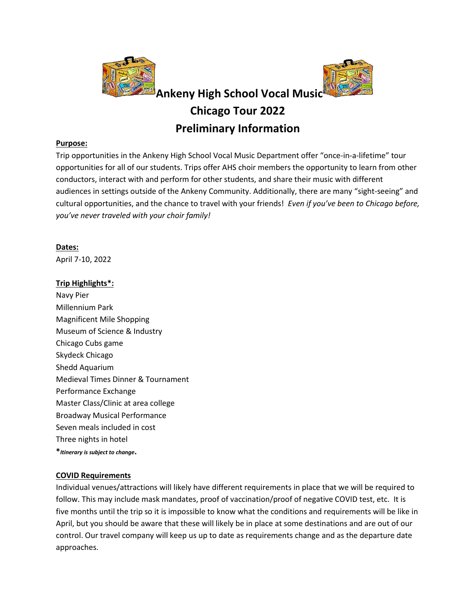

#### **Purpose:**

Trip opportunities in the Ankeny High School Vocal Music Department offer "once-in-a-lifetime" tour opportunities for all of our students. Trips offer AHS choir members the opportunity to learn from other conductors, interact with and perform for other students, and share their music with different audiences in settings outside of the Ankeny Community. Additionally, there are many "sight-seeing" and cultural opportunities, and the chance to travel with your friends! *Even if you've been to Chicago before, you've never traveled with your choir family!*

### **Dates:**

April 7-10, 2022

### **Trip Highlights\*:**

Navy Pier Millennium Park Magnificent Mile Shopping Museum of Science & Industry Chicago Cubs game Skydeck Chicago Shedd Aquarium Medieval Times Dinner & Tournament Performance Exchange Master Class/Clinic at area college Broadway Musical Performance Seven meals included in cost Three nights in hotel **\****Itinerary is subject to change***.**

### **COVID Requirements**

Individual venues/attractions will likely have different requirements in place that we will be required to follow. This may include mask mandates, proof of vaccination/proof of negative COVID test, etc. It is five months until the trip so it is impossible to know what the conditions and requirements will be like in April, but you should be aware that these will likely be in place at some destinations and are out of our control. Our travel company will keep us up to date as requirements change and as the departure date approaches.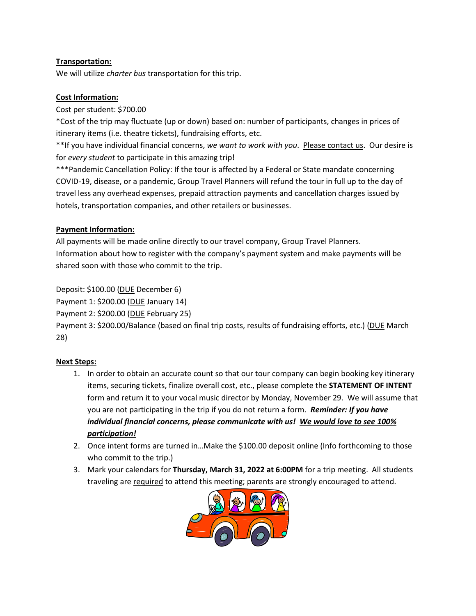## **Transportation:**

We will utilize *charter bus* transportation for this trip.

## **Cost Information:**

Cost per student: \$700.00

\*Cost of the trip may fluctuate (up or down) based on: number of participants, changes in prices of itinerary items (i.e. theatre tickets), fundraising efforts, etc.

\*\*If you have individual financial concerns, *we want to work with you*. Please contact us. Our desire is for *every student* to participate in this amazing trip!

\*\*\*Pandemic Cancellation Policy: If the tour is affected by a Federal or State mandate concerning COVID-19, disease, or a pandemic, Group Travel Planners will refund the tour in full up to the day of travel less any overhead expenses, prepaid attraction payments and cancellation charges issued by hotels, transportation companies, and other retailers or businesses.

## **Payment Information:**

All payments will be made online directly to our travel company, Group Travel Planners. Information about how to register with the company's payment system and make payments will be shared soon with those who commit to the trip.

Deposit: \$100.00 (DUE December 6)

Payment 1: \$200.00 (DUE January 14)

Payment 2: \$200.00 (DUE February 25)

Payment 3: \$200.00/Balance (based on final trip costs, results of fundraising efforts, etc.) (DUE March 28)

## **Next Steps:**

- 1. In order to obtain an accurate count so that our tour company can begin booking key itinerary items, securing tickets, finalize overall cost, etc., please complete the **STATEMENT OF INTENT** form and return it to your vocal music director by Monday, November 29. We will assume that you are not participating in the trip if you do not return a form. *Reminder: If you have individual financial concerns, please communicate with us! We would love to see 100% participation!*
- 2. Once intent forms are turned in…Make the \$100.00 deposit online (Info forthcoming to those who commit to the trip.)
- 3. Mark your calendars for **Thursday, March 31, 2022 at 6:00PM** for a trip meeting. All students traveling are required to attend this meeting; parents are strongly encouraged to attend.